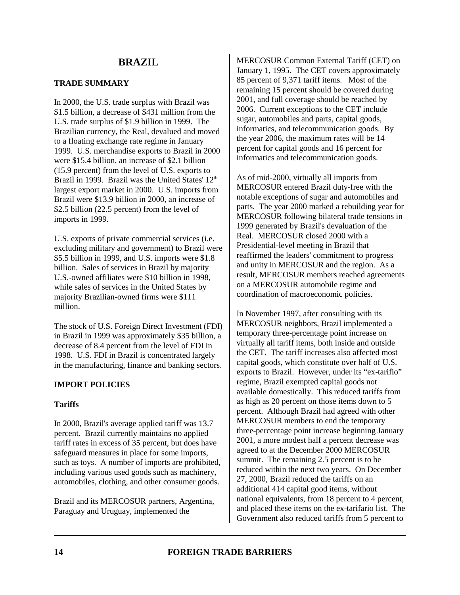# **TRADE SUMMARY**

In 2000, the U.S. trade surplus with Brazil was \$1.5 billion, a decrease of \$431 million from the U.S. trade surplus of \$1.9 billion in 1999. The Brazilian currency, the Real, devalued and moved to a floating exchange rate regime in January 1999. U.S. merchandise exports to Brazil in 2000 were \$15.4 billion, an increase of \$2.1 billion (15.9 percent) from the level of U.S. exports to Brazil in 1999. Brazil was the United States'  $12<sup>th</sup>$ largest export market in 2000. U.S. imports from Brazil were \$13.9 billion in 2000, an increase of \$2.5 billion (22.5 percent) from the level of imports in 1999.

U.S. exports of private commercial services (i.e. excluding military and government) to Brazil were \$5.5 billion in 1999, and U.S. imports were \$1.8 billion. Sales of services in Brazil by majority U.S.-owned affiliates were \$10 billion in 1998, while sales of services in the United States by majority Brazilian-owned firms were \$111 million.

The stock of U.S. Foreign Direct Investment (FDI) in Brazil in 1999 was approximately \$35 billion, a decrease of 8.4 percent from the level of FDI in 1998. U.S. FDI in Brazil is concentrated largely in the manufacturing, finance and banking sectors.

# **IMPORT POLICIES**

# **Tariffs**

In 2000, Brazil's average applied tariff was 13.7 percent. Brazil currently maintains no applied tariff rates in excess of 35 percent, but does have safeguard measures in place for some imports, such as toys. A number of imports are prohibited, including various used goods such as machinery, automobiles, clothing, and other consumer goods.

Brazil and its MERCOSUR partners, Argentina, Paraguay and Uruguay, implemented the

MERCOSUR Common External Tariff (CET) on January 1, 1995. The CET covers approximately 85 percent of 9,371 tariff items. Most of the remaining 15 percent should be covered during 2001, and full coverage should be reached by 2006. Current exceptions to the CET include sugar, automobiles and parts, capital goods, informatics, and telecommunication goods. By the year 2006, the maximum rates will be 14 percent for capital goods and 16 percent for informatics and telecommunication goods.

As of mid-2000, virtually all imports from MERCOSUR entered Brazil duty-free with the notable exceptions of sugar and automobiles and parts. The year 2000 marked a rebuilding year for MERCOSUR following bilateral trade tensions in 1999 generated by Brazil's devaluation of the Real. MERCOSUR closed 2000 with a Presidential-level meeting in Brazil that reaffirmed the leaders' commitment to progress and unity in MERCOSUR and the region. As a result, MERCOSUR members reached agreements on a MERCOSUR automobile regime and coordination of macroeconomic policies.

In November 1997, after consulting with its MERCOSUR neighbors, Brazil implemented a temporary three-percentage point increase on virtually all tariff items, both inside and outside the CET. The tariff increases also affected most capital goods, which constitute over half of U.S. exports to Brazil. However, under its "ex-tarifio" regime, Brazil exempted capital goods not available domestically. This reduced tariffs from as high as 20 percent on those items down to 5 percent. Although Brazil had agreed with other MERCOSUR members to end the temporary three-percentage point increase beginning January 2001, a more modest half a percent decrease was agreed to at the December 2000 MERCOSUR summit. The remaining 2.5 percent is to be reduced within the next two years. On December 27, 2000, Brazil reduced the tariffs on an additional 414 capital good items, without national equivalents, from 18 percent to 4 percent, and placed these items on the ex-tarifario list. The Government also reduced tariffs from 5 percent to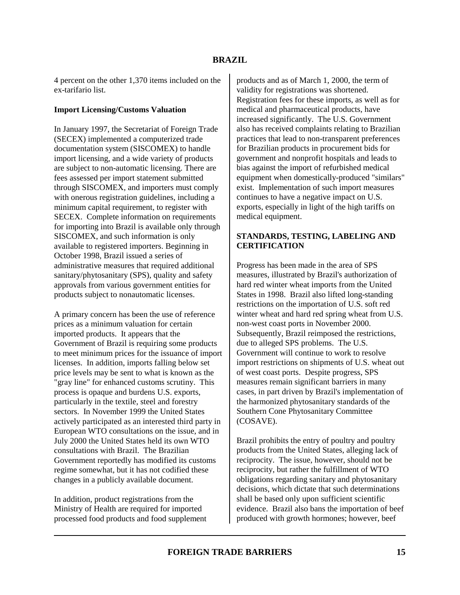4 percent on the other 1,370 items included on the ex-tarifario list.

### **Import Licensing/Customs Valuation**

In January 1997, the Secretariat of Foreign Trade (SECEX) implemented a computerized trade documentation system (SISCOMEX) to handle import licensing, and a wide variety of products are subject to non-automatic licensing. There are fees assessed per import statement submitted through SISCOMEX, and importers must comply with onerous registration guidelines, including a minimum capital requirement, to register with SECEX. Complete information on requirements for importing into Brazil is available only through SISCOMEX, and such information is only available to registered importers. Beginning in October 1998, Brazil issued a series of administrative measures that required additional sanitary/phytosanitary (SPS), quality and safety approvals from various government entities for products subject to nonautomatic licenses.

A primary concern has been the use of reference prices as a minimum valuation for certain imported products. It appears that the Government of Brazil is requiring some products to meet minimum prices for the issuance of import licenses. In addition, imports falling below set price levels may be sent to what is known as the "gray line" for enhanced customs scrutiny. This process is opaque and burdens U.S. exports, particularly in the textile, steel and forestry sectors. In November 1999 the United States actively participated as an interested third party in European WTO consultations on the issue, and in July 2000 the United States held its own WTO consultations with Brazil. The Brazilian Government reportedly has modified its customs regime somewhat, but it has not codified these changes in a publicly available document.

In addition, product registrations from the Ministry of Health are required for imported processed food products and food supplement products and as of March 1, 2000, the term of validity for registrations was shortened. Registration fees for these imports, as well as for medical and pharmaceutical products, have increased significantly. The U.S. Government also has received complaints relating to Brazilian practices that lead to non-transparent preferences for Brazilian products in procurement bids for government and nonprofit hospitals and leads to bias against the import of refurbished medical equipment when domestically-produced "similars" exist. Implementation of such import measures continues to have a negative impact on U.S. exports, especially in light of the high tariffs on medical equipment.

# **STANDARDS, TESTING, LABELING AND CERTIFICATION**

Progress has been made in the area of SPS measures, illustrated by Brazil's authorization of hard red winter wheat imports from the United States in 1998. Brazil also lifted long-standing restrictions on the importation of U.S. soft red winter wheat and hard red spring wheat from U.S. non-west coast ports in November 2000. Subsequently, Brazil reimposed the restrictions, due to alleged SPS problems. The U.S. Government will continue to work to resolve import restrictions on shipments of U.S. wheat out of west coast ports. Despite progress, SPS measures remain significant barriers in many cases, in part driven by Brazil's implementation of the harmonized phytosanitary standards of the Southern Cone Phytosanitary Committee (COSAVE).

Brazil prohibits the entry of poultry and poultry products from the United States, alleging lack of reciprocity. The issue, however, should not be reciprocity, but rather the fulfillment of WTO obligations regarding sanitary and phytosanitary decisions, which dictate that such determinations shall be based only upon sufficient scientific evidence. Brazil also bans the importation of beef produced with growth hormones; however, beef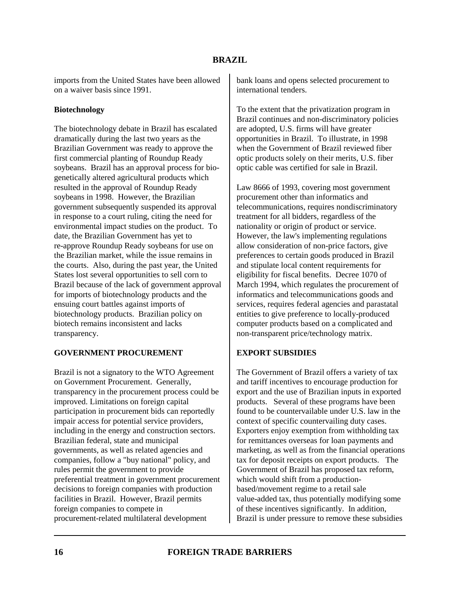imports from the United States have been allowed on a waiver basis since 1991.

### **Biotechnology**

The biotechnology debate in Brazil has escalated dramatically during the last two years as the Brazilian Government was ready to approve the first commercial planting of Roundup Ready soybeans. Brazil has an approval process for biogenetically altered agricultural products which resulted in the approval of Roundup Ready soybeans in 1998. However, the Brazilian government subsequently suspended its approval in response to a court ruling, citing the need for environmental impact studies on the product. To date, the Brazilian Government has yet to re-approve Roundup Ready soybeans for use on the Brazilian market, while the issue remains in the courts. Also, during the past year, the United States lost several opportunities to sell corn to Brazil because of the lack of government approval for imports of biotechnology products and the ensuing court battles against imports of biotechnology products. Brazilian policy on biotech remains inconsistent and lacks transparency.

# **GOVERNMENT PROCUREMENT**

Brazil is not a signatory to the WTO Agreement on Government Procurement. Generally, transparency in the procurement process could be improved. Limitations on foreign capital participation in procurement bids can reportedly impair access for potential service providers, including in the energy and construction sectors. Brazilian federal, state and municipal governments, as well as related agencies and companies, follow a "buy national" policy, and rules permit the government to provide preferential treatment in government procurement decisions to foreign companies with production facilities in Brazil. However, Brazil permits foreign companies to compete in procurement-related multilateral development

bank loans and opens selected procurement to international tenders.

To the extent that the privatization program in Brazil continues and non-discriminatory policies are adopted, U.S. firms will have greater opportunities in Brazil. To illustrate, in 1998 when the Government of Brazil reviewed fiber optic products solely on their merits, U.S. fiber optic cable was certified for sale in Brazil.

Law 8666 of 1993, covering most government procurement other than informatics and telecommunications, requires nondiscriminatory treatment for all bidders, regardless of the nationality or origin of product or service. However, the law's implementing regulations allow consideration of non-price factors, give preferences to certain goods produced in Brazil and stipulate local content requirements for eligibility for fiscal benefits. Decree 1070 of March 1994, which regulates the procurement of informatics and telecommunications goods and services, requires federal agencies and parastatal entities to give preference to locally-produced computer products based on a complicated and non-transparent price/technology matrix.

#### **EXPORT SUBSIDIES**

The Government of Brazil offers a variety of tax and tariff incentives to encourage production for export and the use of Brazilian inputs in exported products. Several of these programs have been found to be countervailable under U.S. law in the context of specific countervailing duty cases. Exporters enjoy exemption from withholding tax for remittances overseas for loan payments and marketing, as well as from the financial operations tax for deposit receipts on export products. The Government of Brazil has proposed tax reform, which would shift from a productionbased/movement regime to a retail sale value-added tax, thus potentially modifying some of these incentives significantly. In addition, Brazil is under pressure to remove these subsidies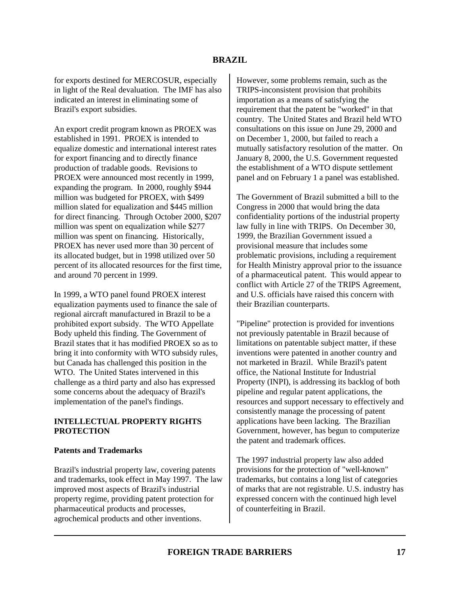for exports destined for MERCOSUR, especially in light of the Real devaluation. The IMF has also indicated an interest in eliminating some of Brazil's export subsidies.

An export credit program known as PROEX was established in 1991. PROEX is intended to equalize domestic and international interest rates for export financing and to directly finance production of tradable goods. Revisions to PROEX were announced most recently in 1999, expanding the program. In 2000, roughly \$944 million was budgeted for PROEX, with \$499 million slated for equalization and \$445 million for direct financing. Through October 2000, \$207 million was spent on equalization while \$277 million was spent on financing. Historically, PROEX has never used more than 30 percent of its allocated budget, but in 1998 utilized over 50 percent of its allocated resources for the first time, and around 70 percent in 1999.

In 1999, a WTO panel found PROEX interest equalization payments used to finance the sale of regional aircraft manufactured in Brazil to be a prohibited export subsidy. The WTO Appellate Body upheld this finding. The Government of Brazil states that it has modified PROEX so as to bring it into conformity with WTO subsidy rules, but Canada has challenged this position in the WTO. The United States intervened in this challenge as a third party and also has expressed some concerns about the adequacy of Brazil's implementation of the panel's findings.

### **INTELLECTUAL PROPERTY RIGHTS PROTECTION**

# **Patents and Trademarks**

Brazil's industrial property law, covering patents and trademarks, took effect in May 1997. The law improved most aspects of Brazil's industrial property regime, providing patent protection for pharmaceutical products and processes, agrochemical products and other inventions.

However, some problems remain, such as the TRIPS-inconsistent provision that prohibits importation as a means of satisfying the requirement that the patent be "worked" in that country. The United States and Brazil held WTO consultations on this issue on June 29, 2000 and on December 1, 2000, but failed to reach a mutually satisfactory resolution of the matter. On January 8, 2000, the U.S. Government requested the establishment of a WTO dispute settlement panel and on February 1 a panel was established.

The Government of Brazil submitted a bill to the Congress in 2000 that would bring the data confidentiality portions of the industrial property law fully in line with TRIPS. On December 30, 1999, the Brazilian Government issued a provisional measure that includes some problematic provisions, including a requirement for Health Ministry approval prior to the issuance of a pharmaceutical patent. This would appear to conflict with Article 27 of the TRIPS Agreement, and U.S. officials have raised this concern with their Brazilian counterparts.

"Pipeline" protection is provided for inventions not previously patentable in Brazil because of limitations on patentable subject matter, if these inventions were patented in another country and not marketed in Brazil. While Brazil's patent office, the National Institute for Industrial Property (INPI), is addressing its backlog of both pipeline and regular patent applications, the resources and support necessary to effectively and consistently manage the processing of patent applications have been lacking. The Brazilian Government, however, has begun to computerize the patent and trademark offices.

The 1997 industrial property law also added provisions for the protection of "well-known" trademarks, but contains a long list of categories of marks that are not registrable. U.S. industry has expressed concern with the continued high level of counterfeiting in Brazil.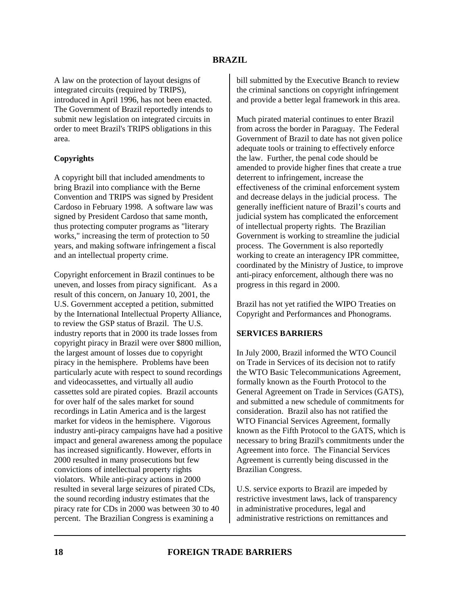A law on the protection of layout designs of integrated circuits (required by TRIPS), introduced in April 1996, has not been enacted. The Government of Brazil reportedly intends to submit new legislation on integrated circuits in order to meet Brazil's TRIPS obligations in this area.

### **Copyrights**

A copyright bill that included amendments to bring Brazil into compliance with the Berne Convention and TRIPS was signed by President Cardoso in February 1998. A software law was signed by President Cardoso that same month, thus protecting computer programs as "literary works," increasing the term of protection to 50 years, and making software infringement a fiscal and an intellectual property crime.

Copyright enforcement in Brazil continues to be uneven, and losses from piracy significant. As a result of this concern, on January 10, 2001, the U.S. Government accepted a petition, submitted by the International Intellectual Property Alliance, to review the GSP status of Brazil. The U.S. industry reports that in 2000 its trade losses from copyright piracy in Brazil were over \$800 million, the largest amount of losses due to copyright piracy in the hemisphere. Problems have been particularly acute with respect to sound recordings and videocassettes, and virtually all audio cassettes sold are pirated copies. Brazil accounts for over half of the sales market for sound recordings in Latin America and is the largest market for videos in the hemisphere. Vigorous industry anti-piracy campaigns have had a positive impact and general awareness among the populace has increased significantly. However, efforts in 2000 resulted in many prosecutions but few convictions of intellectual property rights violators. While anti-piracy actions in 2000 resulted in several large seizures of pirated CDs, the sound recording industry estimates that the piracy rate for CDs in 2000 was between 30 to 40 percent. The Brazilian Congress is examining a

bill submitted by the Executive Branch to review the criminal sanctions on copyright infringement and provide a better legal framework in this area.

Much pirated material continues to enter Brazil from across the border in Paraguay. The Federal Government of Brazil to date has not given police adequate tools or training to effectively enforce the law. Further, the penal code should be amended to provide higher fines that create a true deterrent to infringement, increase the effectiveness of the criminal enforcement system and decrease delays in the judicial process. The generally inefficient nature of Brazil's courts and judicial system has complicated the enforcement of intellectual property rights. The Brazilian Government is working to streamline the judicial process. The Government is also reportedly working to create an interagency IPR committee, coordinated by the Ministry of Justice, to improve anti-piracy enforcement, although there was no progress in this regard in 2000.

Brazil has not yet ratified the WIPO Treaties on Copyright and Performances and Phonograms.

#### **SERVICES BARRIERS**

In July 2000, Brazil informed the WTO Council on Trade in Services of its decision not to ratify the WTO Basic Telecommunications Agreement, formally known as the Fourth Protocol to the General Agreement on Trade in Services (GATS), and submitted a new schedule of commitments for consideration. Brazil also has not ratified the WTO Financial Services Agreement, formally known as the Fifth Protocol to the GATS, which is necessary to bring Brazil's commitments under the Agreement into force. The Financial Services Agreement is currently being discussed in the Brazilian Congress.

U.S. service exports to Brazil are impeded by restrictive investment laws, lack of transparency in administrative procedures, legal and administrative restrictions on remittances and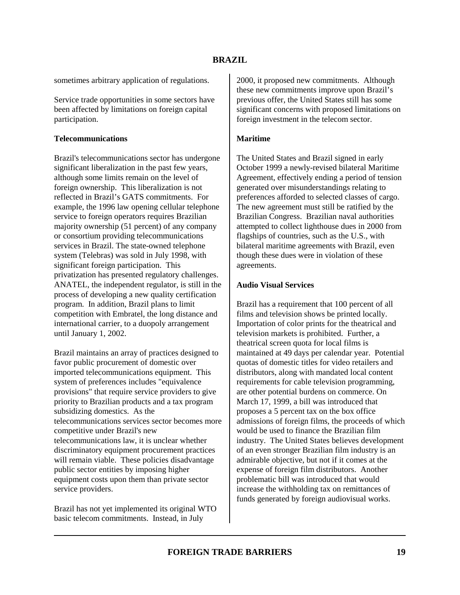sometimes arbitrary application of regulations.

Service trade opportunities in some sectors have been affected by limitations on foreign capital participation.

#### **Telecommunications**

Brazil's telecommunications sector has undergone significant liberalization in the past few years, although some limits remain on the level of foreign ownership. This liberalization is not reflected in Brazil's GATS commitments. For example, the 1996 law opening cellular telephone service to foreign operators requires Brazilian majority ownership (51 percent) of any company or consortium providing telecommunications services in Brazil. The state-owned telephone system (Telebras) was sold in July 1998, with significant foreign participation. This privatization has presented regulatory challenges. ANATEL, the independent regulator, is still in the process of developing a new quality certification program. In addition, Brazil plans to limit competition with Embratel, the long distance and international carrier, to a duopoly arrangement until January 1, 2002.

Brazil maintains an array of practices designed to favor public procurement of domestic over imported telecommunications equipment. This system of preferences includes "equivalence provisions" that require service providers to give priority to Brazilian products and a tax program subsidizing domestics. As the telecommunications services sector becomes more competitive under Brazil's new telecommunications law, it is unclear whether discriminatory equipment procurement practices will remain viable. These policies disadvantage public sector entities by imposing higher equipment costs upon them than private sector service providers.

Brazil has not yet implemented its original WTO basic telecom commitments. Instead, in July

2000, it proposed new commitments. Although these new commitments improve upon Brazil's previous offer, the United States still has some significant concerns with proposed limitations on foreign investment in the telecom sector.

## **Maritime**

The United States and Brazil signed in early October 1999 a newly-revised bilateral Maritime Agreement, effectively ending a period of tension generated over misunderstandings relating to preferences afforded to selected classes of cargo. The new agreement must still be ratified by the Brazilian Congress. Brazilian naval authorities attempted to collect lighthouse dues in 2000 from flagships of countries, such as the U.S., with bilateral maritime agreements with Brazil, even though these dues were in violation of these agreements.

### **Audio Visual Services**

Brazil has a requirement that 100 percent of all films and television shows be printed locally. Importation of color prints for the theatrical and television markets is prohibited. Further, a theatrical screen quota for local films is maintained at 49 days per calendar year. Potential quotas of domestic titles for video retailers and distributors, along with mandated local content requirements for cable television programming, are other potential burdens on commerce. On March 17, 1999, a bill was introduced that proposes a 5 percent tax on the box office admissions of foreign films, the proceeds of which would be used to finance the Brazilian film industry. The United States believes development of an even stronger Brazilian film industry is an admirable objective, but not if it comes at the expense of foreign film distributors. Another problematic bill was introduced that would increase the withholding tax on remittances of funds generated by foreign audiovisual works.